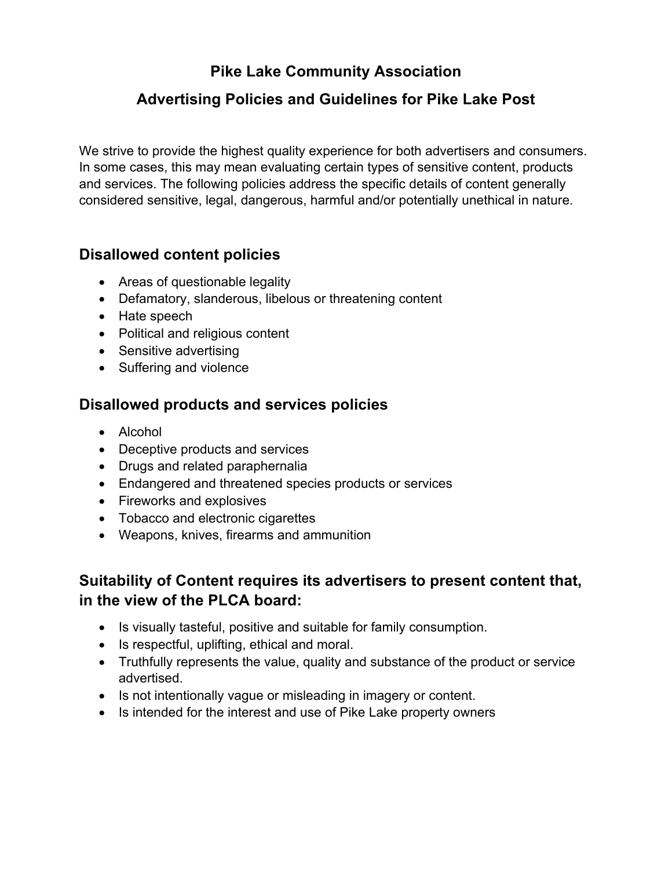## **Pike Lake Community Association**

## **Advertising Policies and Guidelines for Pike Lake Post**

We strive to provide the highest quality experience for both advertisers and consumers. In some cases, this may mean evaluating certain types of sensitive content, products and services. The following policies address the specific details of content generally considered sensitive, legal, dangerous, harmful and/or potentially unethical in nature.

#### **Disallowed content policies**

- Areas of questionable legality
- Defamatory, slanderous, libelous or threatening content
- Hate speech
- Political and religious content
- Sensitive advertising
- Suffering and violence

### **Disallowed products and services policies**

- Alcohol
- Deceptive products and services
- Drugs and related paraphernalia
- Endangered and threatened species products or services
- Fireworks and explosives
- Tobacco and electronic cigarettes
- Weapons, knives, firearms and ammunition

### **Suitability of Content requires its advertisers to present content that, in the view of the PLCA board:**

- Is visually tasteful, positive and suitable for family consumption.
- Is respectful, uplifting, ethical and moral.
- Truthfully represents the value, quality and substance of the product or service advertised.
- Is not intentionally vague or misleading in imagery or content.
- Is intended for the interest and use of Pike Lake property owners